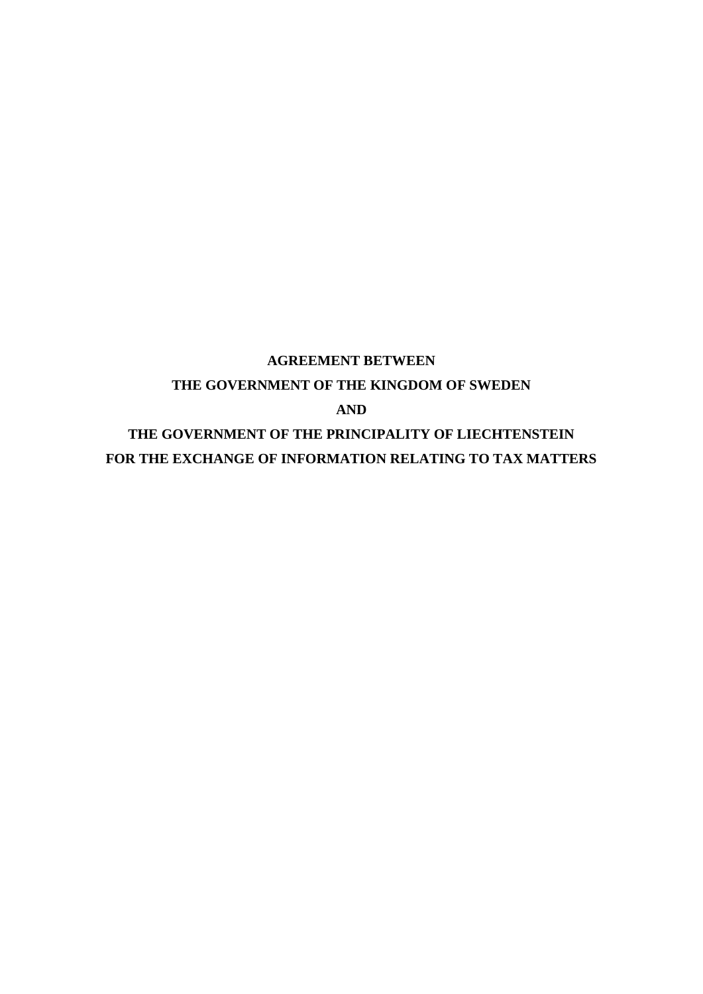## **AGREEMENT BETWEEN THE GOVERNMENT OF THE KINGDOM OF SWEDEN AND THE GOVERNMENT OF THE PRINCIPALITY OF LIECHTENSTEIN FOR THE EXCHANGE OF INFORMATION RELATING TO TAX MATTERS**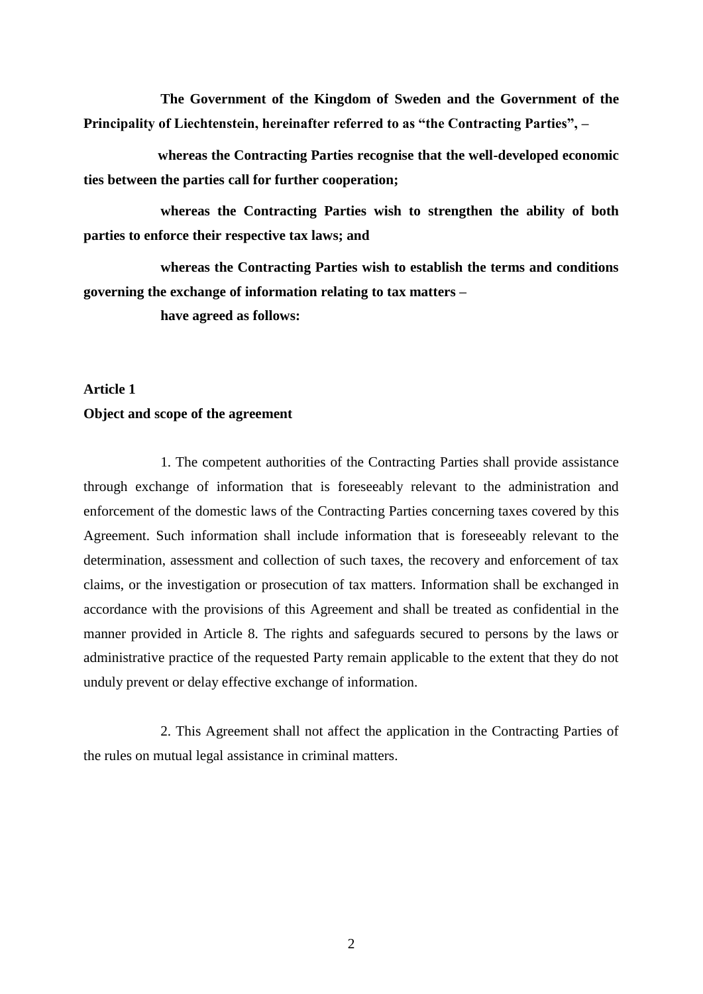**The Government of the Kingdom of Sweden and the Government of the Principality of Liechtenstein, hereinafter referred to as "the Contracting Parties", –**

**whereas the Contracting Parties recognise that the well-developed economic ties between the parties call for further cooperation;** 

**whereas the Contracting Parties wish to strengthen the ability of both parties to enforce their respective tax laws; and** 

**whereas the Contracting Parties wish to establish the terms and conditions governing the exchange of information relating to tax matters –**

**have agreed as follows:**

#### **Article 1**

#### **Object and scope of the agreement**

1. The competent authorities of the Contracting Parties shall provide assistance through exchange of information that is foreseeably relevant to the administration and enforcement of the domestic laws of the Contracting Parties concerning taxes covered by this Agreement. Such information shall include information that is foreseeably relevant to the determination, assessment and collection of such taxes, the recovery and enforcement of tax claims, or the investigation or prosecution of tax matters. Information shall be exchanged in accordance with the provisions of this Agreement and shall be treated as confidential in the manner provided in Article 8. The rights and safeguards secured to persons by the laws or administrative practice of the requested Party remain applicable to the extent that they do not unduly prevent or delay effective exchange of information.

2. This Agreement shall not affect the application in the Contracting Parties of the rules on mutual legal assistance in criminal matters.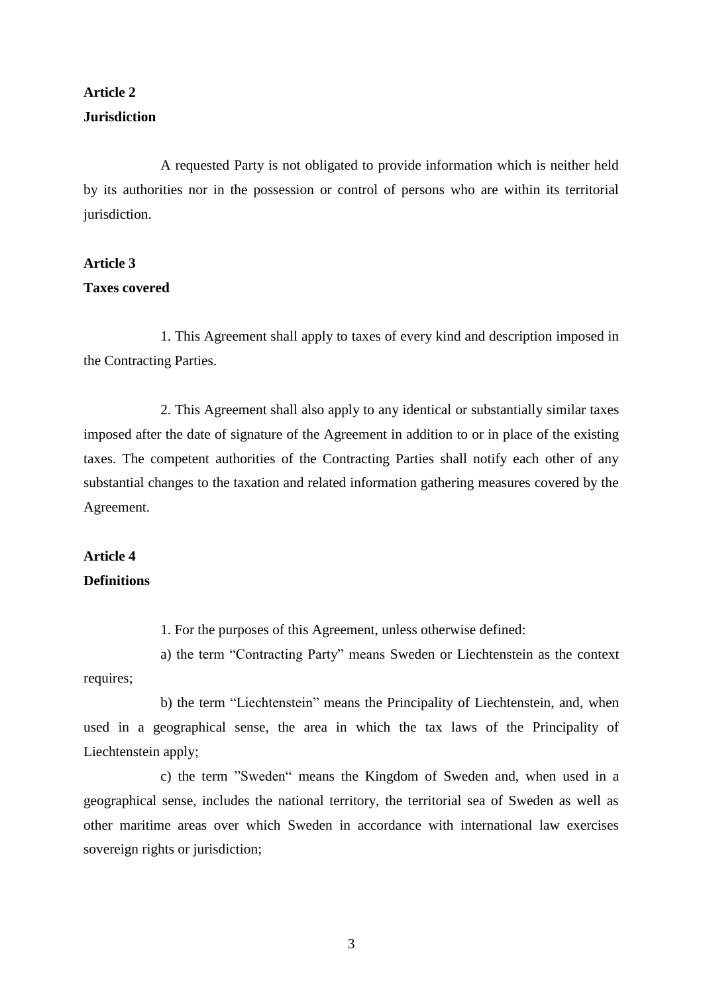## **Article 2 Jurisdiction**

A requested Party is not obligated to provide information which is neither held by its authorities nor in the possession or control of persons who are within its territorial jurisdiction.

## **Article 3 Taxes covered**

1. This Agreement shall apply to taxes of every kind and description imposed in the Contracting Parties.

2. This Agreement shall also apply to any identical or substantially similar taxes imposed after the date of signature of the Agreement in addition to or in place of the existing taxes. The competent authorities of the Contracting Parties shall notify each other of any substantial changes to the taxation and related information gathering measures covered by the Agreement.

## **Article 4 Definitions**

1. For the purposes of this Agreement, unless otherwise defined:

a) the term "Contracting Party" means Sweden or Liechtenstein as the context requires;

b) the term "Liechtenstein" means the Principality of Liechtenstein, and, when used in a geographical sense, the area in which the tax laws of the Principality of Liechtenstein apply;

c) the term "Sweden" means the Kingdom of Sweden and, when used in a geographical sense, includes the national territory, the territorial sea of Sweden as well as other maritime areas over which Sweden in accordance with international law exercises sovereign rights or jurisdiction;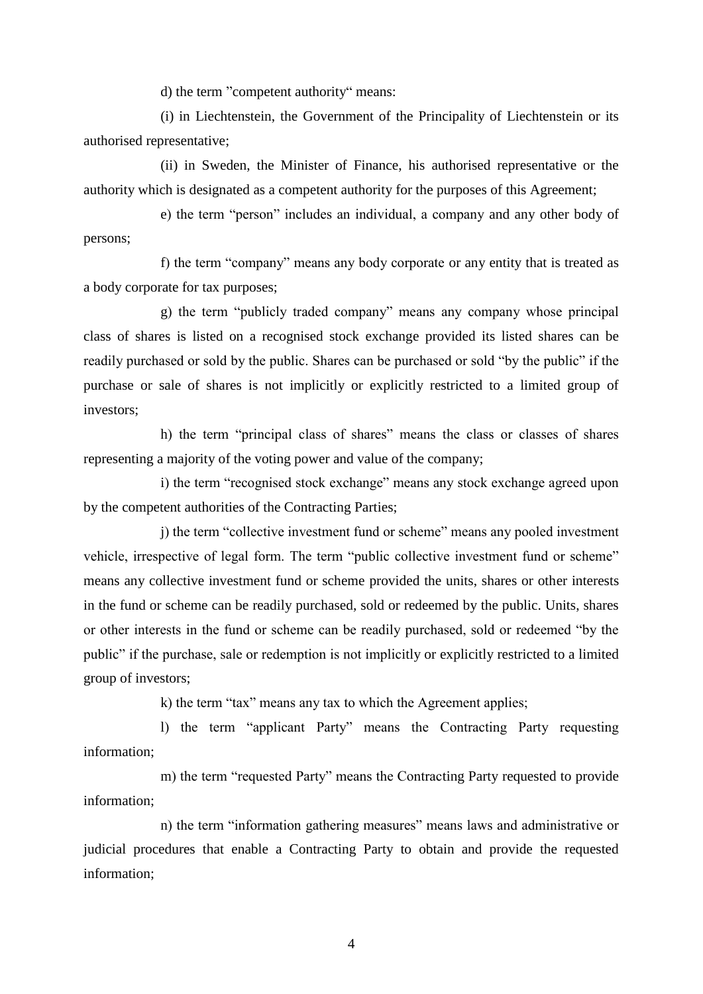d) the term "competent authority" means:

(i) in Liechtenstein, the Government of the Principality of Liechtenstein or its authorised representative;

(ii) in Sweden, the Minister of Finance, his authorised representative or the authority which is designated as a competent authority for the purposes of this Agreement;

e) the term "person" includes an individual, a company and any other body of persons;

f) the term "company" means any body corporate or any entity that is treated as a body corporate for tax purposes;

g) the term "publicly traded company" means any company whose principal class of shares is listed on a recognised stock exchange provided its listed shares can be readily purchased or sold by the public. Shares can be purchased or sold "by the public" if the purchase or sale of shares is not implicitly or explicitly restricted to a limited group of investors;

h) the term "principal class of shares" means the class or classes of shares representing a majority of the voting power and value of the company;

i) the term "recognised stock exchange" means any stock exchange agreed upon by the competent authorities of the Contracting Parties;

j) the term "collective investment fund or scheme" means any pooled investment vehicle, irrespective of legal form. The term "public collective investment fund or scheme" means any collective investment fund or scheme provided the units, shares or other interests in the fund or scheme can be readily purchased, sold or redeemed by the public. Units, shares or other interests in the fund or scheme can be readily purchased, sold or redeemed "by the public" if the purchase, sale or redemption is not implicitly or explicitly restricted to a limited group of investors;

k) the term "tax" means any tax to which the Agreement applies;

l) the term "applicant Party" means the Contracting Party requesting information;

m) the term "requested Party" means the Contracting Party requested to provide information;

n) the term "information gathering measures" means laws and administrative or judicial procedures that enable a Contracting Party to obtain and provide the requested information;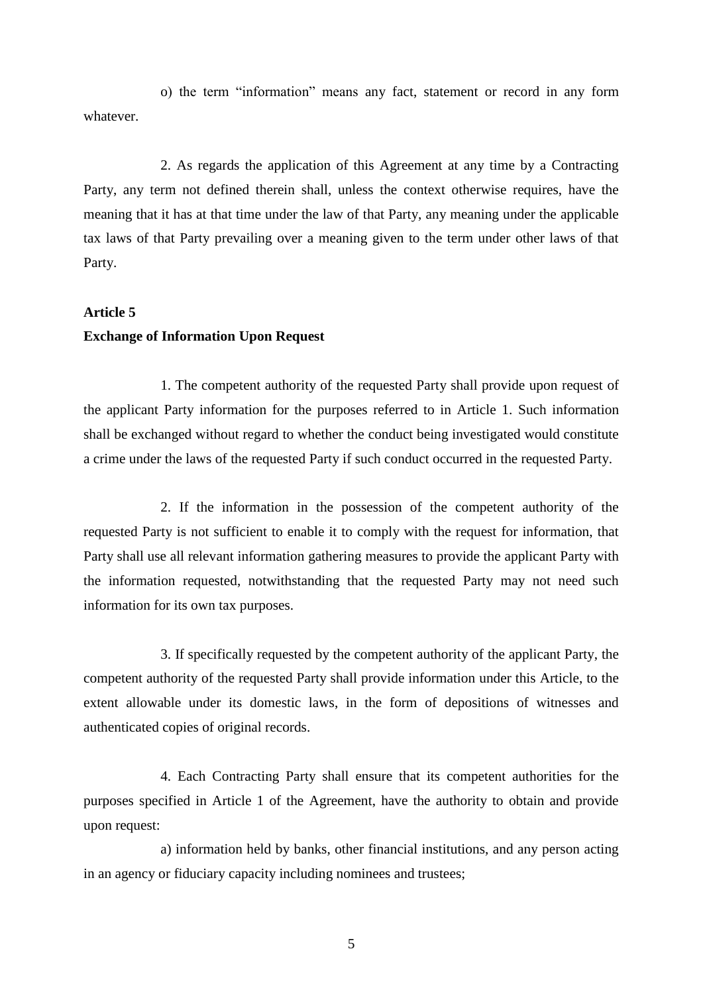o) the term "information" means any fact, statement or record in any form whatever.

2. As regards the application of this Agreement at any time by a Contracting Party, any term not defined therein shall, unless the context otherwise requires, have the meaning that it has at that time under the law of that Party, any meaning under the applicable tax laws of that Party prevailing over a meaning given to the term under other laws of that Party.

#### **Article 5**

#### **Exchange of Information Upon Request**

1. The competent authority of the requested Party shall provide upon request of the applicant Party information for the purposes referred to in Article 1. Such information shall be exchanged without regard to whether the conduct being investigated would constitute a crime under the laws of the requested Party if such conduct occurred in the requested Party.

2. If the information in the possession of the competent authority of the requested Party is not sufficient to enable it to comply with the request for information, that Party shall use all relevant information gathering measures to provide the applicant Party with the information requested, notwithstanding that the requested Party may not need such information for its own tax purposes.

3. If specifically requested by the competent authority of the applicant Party, the competent authority of the requested Party shall provide information under this Article, to the extent allowable under its domestic laws, in the form of depositions of witnesses and authenticated copies of original records.

4. Each Contracting Party shall ensure that its competent authorities for the purposes specified in Article 1 of the Agreement, have the authority to obtain and provide upon request:

a) information held by banks, other financial institutions, and any person acting in an agency or fiduciary capacity including nominees and trustees;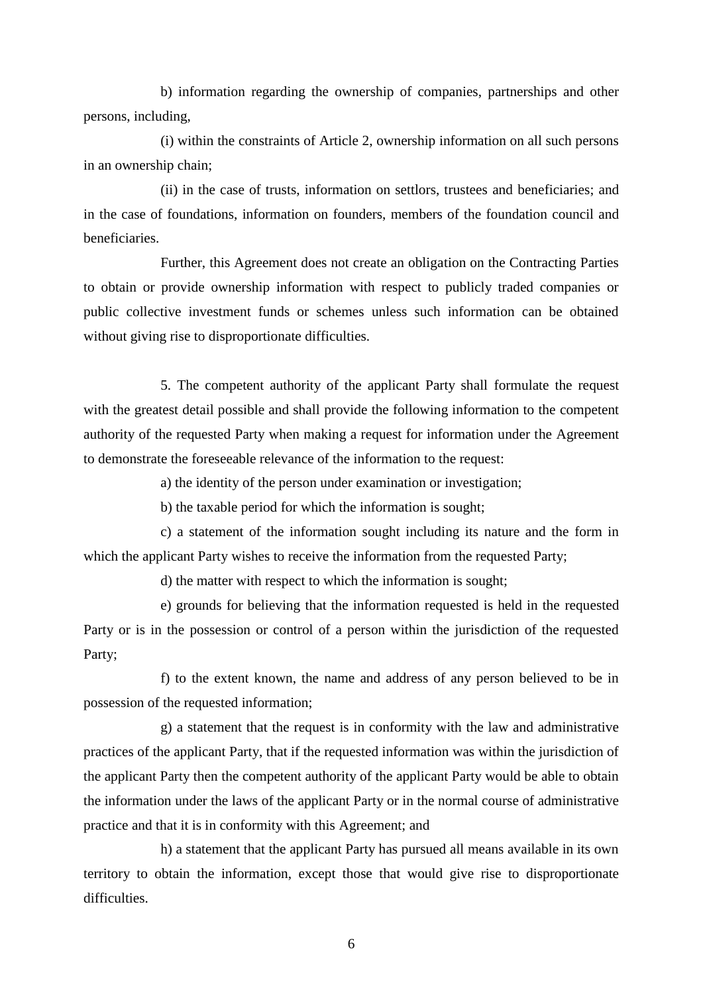b) information regarding the ownership of companies, partnerships and other persons, including,

(i) within the constraints of Article 2, ownership information on all such persons in an ownership chain;

(ii) in the case of trusts, information on settlors, trustees and beneficiaries; and in the case of foundations, information on founders, members of the foundation council and beneficiaries.

Further, this Agreement does not create an obligation on the Contracting Parties to obtain or provide ownership information with respect to publicly traded companies or public collective investment funds or schemes unless such information can be obtained without giving rise to disproportionate difficulties.

5. The competent authority of the applicant Party shall formulate the request with the greatest detail possible and shall provide the following information to the competent authority of the requested Party when making a request for information under the Agreement to demonstrate the foreseeable relevance of the information to the request:

a) the identity of the person under examination or investigation;

b) the taxable period for which the information is sought;

c) a statement of the information sought including its nature and the form in which the applicant Party wishes to receive the information from the requested Party;

d) the matter with respect to which the information is sought;

e) grounds for believing that the information requested is held in the requested Party or is in the possession or control of a person within the jurisdiction of the requested Party;

f) to the extent known, the name and address of any person believed to be in possession of the requested information;

g) a statement that the request is in conformity with the law and administrative practices of the applicant Party, that if the requested information was within the jurisdiction of the applicant Party then the competent authority of the applicant Party would be able to obtain the information under the laws of the applicant Party or in the normal course of administrative practice and that it is in conformity with this Agreement; and

h) a statement that the applicant Party has pursued all means available in its own territory to obtain the information, except those that would give rise to disproportionate difficulties.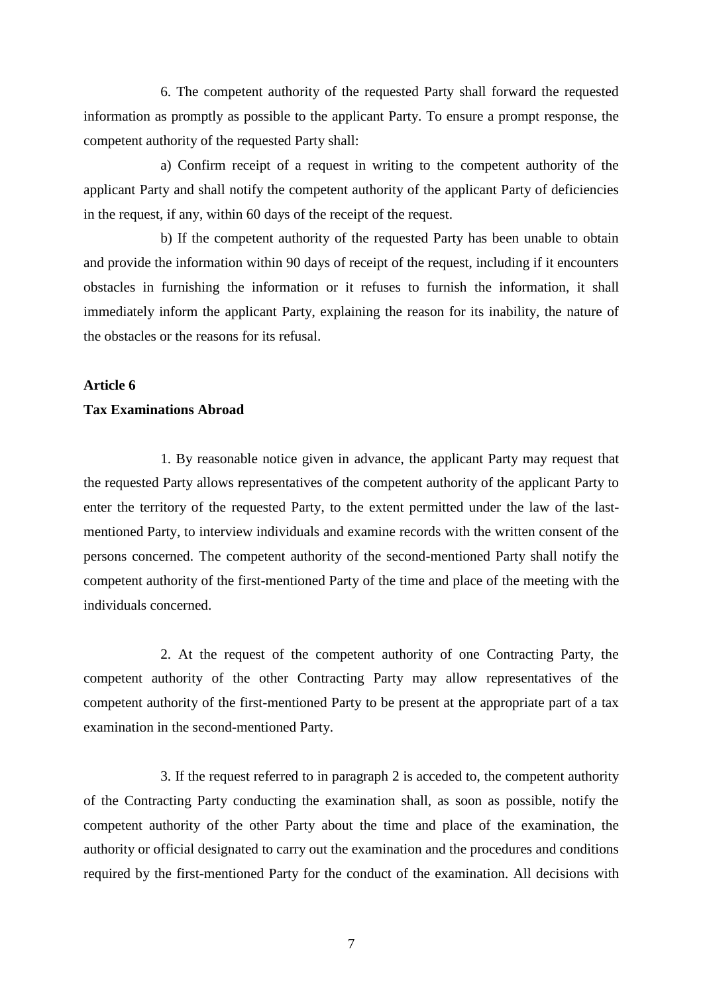6. The competent authority of the requested Party shall forward the requested information as promptly as possible to the applicant Party. To ensure a prompt response, the competent authority of the requested Party shall:

a) Confirm receipt of a request in writing to the competent authority of the applicant Party and shall notify the competent authority of the applicant Party of deficiencies in the request, if any, within 60 days of the receipt of the request.

b) If the competent authority of the requested Party has been unable to obtain and provide the information within 90 days of receipt of the request, including if it encounters obstacles in furnishing the information or it refuses to furnish the information, it shall immediately inform the applicant Party, explaining the reason for its inability, the nature of the obstacles or the reasons for its refusal.

## **Article 6 Tax Examinations Abroad**

1. By reasonable notice given in advance, the applicant Party may request that the requested Party allows representatives of the competent authority of the applicant Party to enter the territory of the requested Party, to the extent permitted under the law of the lastmentioned Party, to interview individuals and examine records with the written consent of the persons concerned. The competent authority of the second-mentioned Party shall notify the competent authority of the first-mentioned Party of the time and place of the meeting with the individuals concerned.

2. At the request of the competent authority of one Contracting Party, the competent authority of the other Contracting Party may allow representatives of the competent authority of the first-mentioned Party to be present at the appropriate part of a tax examination in the second-mentioned Party.

3. If the request referred to in paragraph 2 is acceded to, the competent authority of the Contracting Party conducting the examination shall, as soon as possible, notify the competent authority of the other Party about the time and place of the examination, the authority or official designated to carry out the examination and the procedures and conditions required by the first-mentioned Party for the conduct of the examination. All decisions with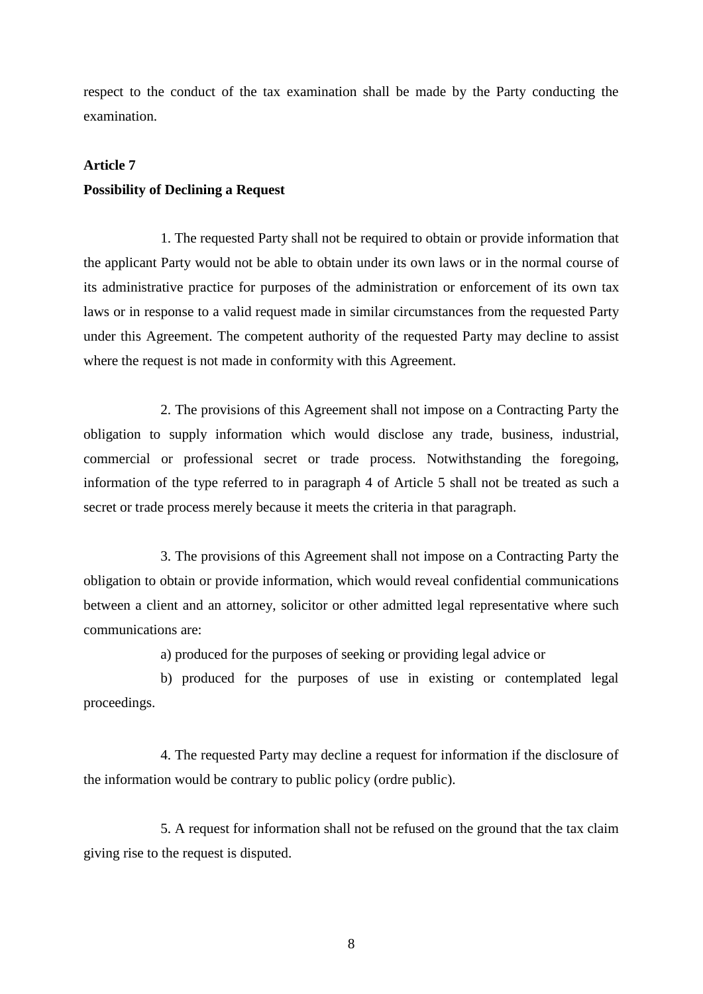respect to the conduct of the tax examination shall be made by the Party conducting the examination.

#### **Article 7**

#### **Possibility of Declining a Request**

1. The requested Party shall not be required to obtain or provide information that the applicant Party would not be able to obtain under its own laws or in the normal course of its administrative practice for purposes of the administration or enforcement of its own tax laws or in response to a valid request made in similar circumstances from the requested Party under this Agreement. The competent authority of the requested Party may decline to assist where the request is not made in conformity with this Agreement.

2. The provisions of this Agreement shall not impose on a Contracting Party the obligation to supply information which would disclose any trade, business, industrial, commercial or professional secret or trade process. Notwithstanding the foregoing, information of the type referred to in paragraph 4 of Article 5 shall not be treated as such a secret or trade process merely because it meets the criteria in that paragraph.

3. The provisions of this Agreement shall not impose on a Contracting Party the obligation to obtain or provide information, which would reveal confidential communications between a client and an attorney, solicitor or other admitted legal representative where such communications are:

a) produced for the purposes of seeking or providing legal advice or

b) produced for the purposes of use in existing or contemplated legal proceedings.

4. The requested Party may decline a request for information if the disclosure of the information would be contrary to public policy (ordre public).

5. A request for information shall not be refused on the ground that the tax claim giving rise to the request is disputed.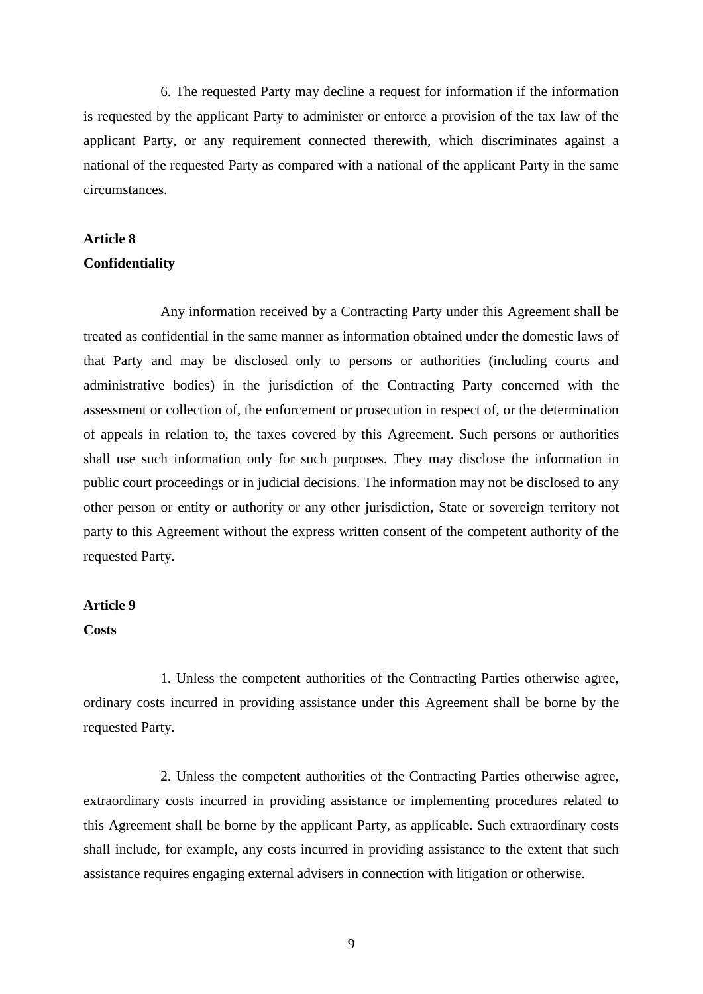6. The requested Party may decline a request for information if the information is requested by the applicant Party to administer or enforce a provision of the tax law of the applicant Party, or any requirement connected therewith, which discriminates against a national of the requested Party as compared with a national of the applicant Party in the same circumstances.

#### **Article 8**

#### **Confidentiality**

Any information received by a Contracting Party under this Agreement shall be treated as confidential in the same manner as information obtained under the domestic laws of that Party and may be disclosed only to persons or authorities (including courts and administrative bodies) in the jurisdiction of the Contracting Party concerned with the assessment or collection of, the enforcement or prosecution in respect of, or the determination of appeals in relation to, the taxes covered by this Agreement. Such persons or authorities shall use such information only for such purposes. They may disclose the information in public court proceedings or in judicial decisions. The information may not be disclosed to any other person or entity or authority or any other jurisdiction, State or sovereign territory not party to this Agreement without the express written consent of the competent authority of the requested Party.

#### **Article 9**

#### **Costs**

1. Unless the competent authorities of the Contracting Parties otherwise agree, ordinary costs incurred in providing assistance under this Agreement shall be borne by the requested Party.

2. Unless the competent authorities of the Contracting Parties otherwise agree, extraordinary costs incurred in providing assistance or implementing procedures related to this Agreement shall be borne by the applicant Party, as applicable. Such extraordinary costs shall include, for example, any costs incurred in providing assistance to the extent that such assistance requires engaging external advisers in connection with litigation or otherwise.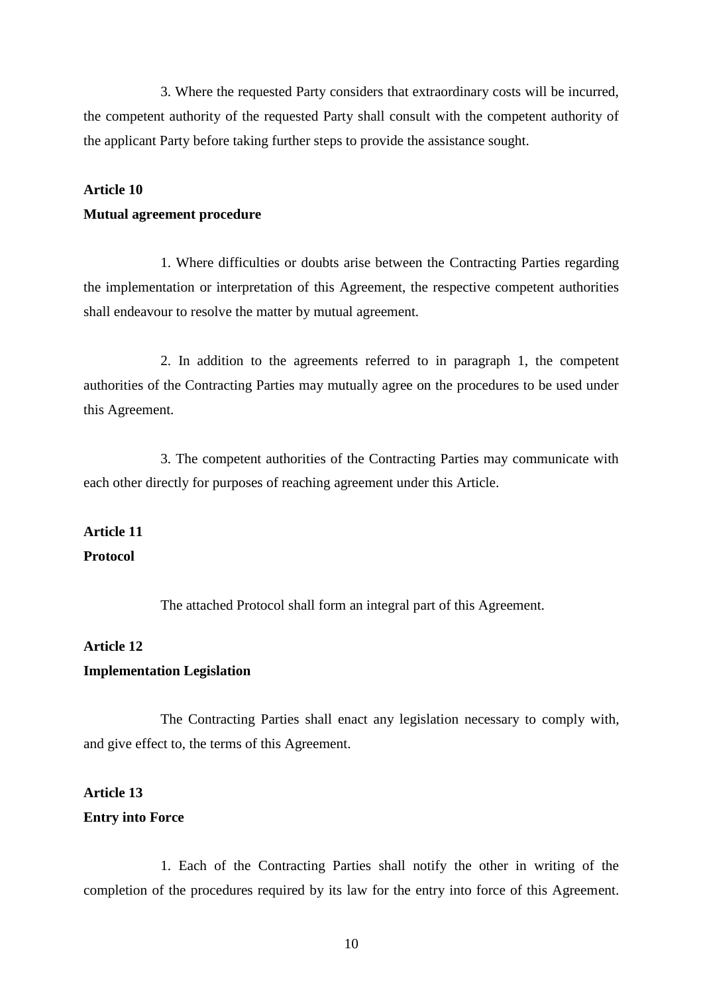3. Where the requested Party considers that extraordinary costs will be incurred, the competent authority of the requested Party shall consult with the competent authority of the applicant Party before taking further steps to provide the assistance sought.

## **Article 10 Mutual agreement procedure**

1. Where difficulties or doubts arise between the Contracting Parties regarding the implementation or interpretation of this Agreement, the respective competent authorities shall endeavour to resolve the matter by mutual agreement.

2. In addition to the agreements referred to in paragraph 1, the competent authorities of the Contracting Parties may mutually agree on the procedures to be used under this Agreement.

3. The competent authorities of the Contracting Parties may communicate with each other directly for purposes of reaching agreement under this Article.

## **Article 11 Protocol**

The attached Protocol shall form an integral part of this Agreement.

#### **Article 12**

#### **Implementation Legislation**

The Contracting Parties shall enact any legislation necessary to comply with, and give effect to, the terms of this Agreement.

# **Article 13**

### **Entry into Force**

1. Each of the Contracting Parties shall notify the other in writing of the completion of the procedures required by its law for the entry into force of this Agreement.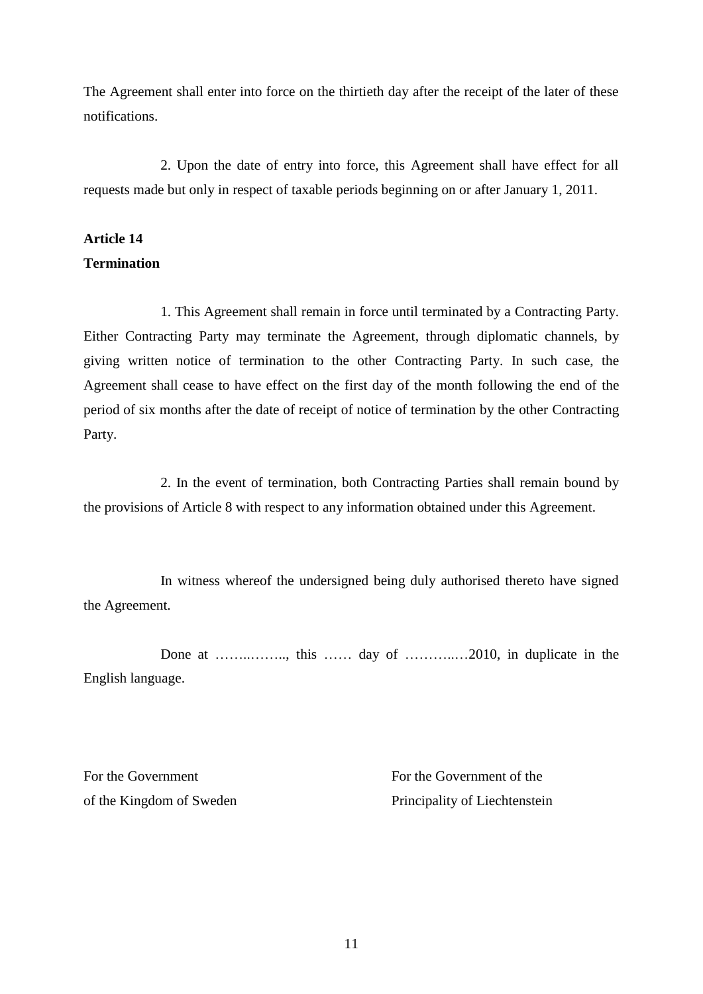The Agreement shall enter into force on the thirtieth day after the receipt of the later of these notifications.

2. Upon the date of entry into force, this Agreement shall have effect for all requests made but only in respect of taxable periods beginning on or after January 1, 2011.

## **Article 14**

#### **Termination**

1. This Agreement shall remain in force until terminated by a Contracting Party. Either Contracting Party may terminate the Agreement, through diplomatic channels, by giving written notice of termination to the other Contracting Party. In such case, the Agreement shall cease to have effect on the first day of the month following the end of the period of six months after the date of receipt of notice of termination by the other Contracting Party.

2. In the event of termination, both Contracting Parties shall remain bound by the provisions of Article 8 with respect to any information obtained under this Agreement.

In witness whereof the undersigned being duly authorised thereto have signed the Agreement.

Done at ……..…….., this …… day of ………..…2010, in duplicate in the English language.

For the Government For the Government of the Government of the Formula in the Government of the Formula in the Government of the  $\frac{1}{2}$ of the Kingdom of Sweden Principality of Liechtenstein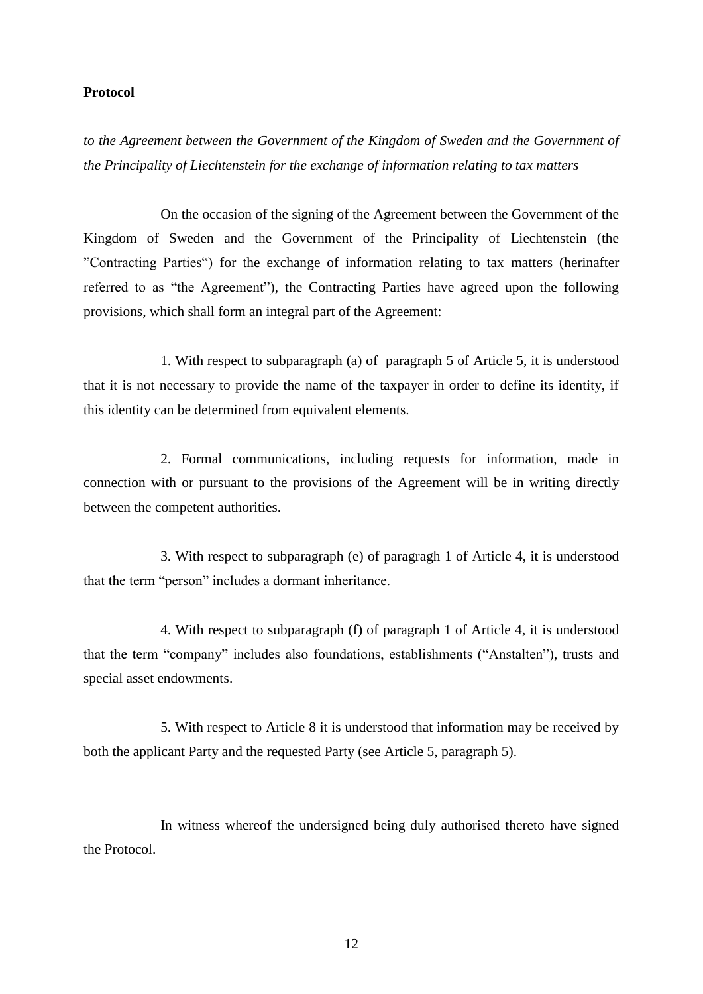#### **Protocol**

*to the Agreement between the Government of the Kingdom of Sweden and the Government of the Principality of Liechtenstein for the exchange of information relating to tax matters*

On the occasion of the signing of the Agreement between the Government of the Kingdom of Sweden and the Government of the Principality of Liechtenstein (the "Contracting Parties") for the exchange of information relating to tax matters (herinafter referred to as "the Agreement"), the Contracting Parties have agreed upon the following provisions, which shall form an integral part of the Agreement:

1. With respect to subparagraph (a) of paragraph 5 of Article 5, it is understood that it is not necessary to provide the name of the taxpayer in order to define its identity, if this identity can be determined from equivalent elements.

2. Formal communications, including requests for information, made in connection with or pursuant to the provisions of the Agreement will be in writing directly between the competent authorities.

3. With respect to subparagraph (e) of paragragh 1 of Article 4, it is understood that the term "person" includes a dormant inheritance.

4. With respect to subparagraph (f) of paragraph 1 of Article 4, it is understood that the term "company" includes also foundations, establishments ("Anstalten"), trusts and special asset endowments.

5. With respect to Article 8 it is understood that information may be received by both the applicant Party and the requested Party (see Article 5, paragraph 5).

In witness whereof the undersigned being duly authorised thereto have signed the Protocol.